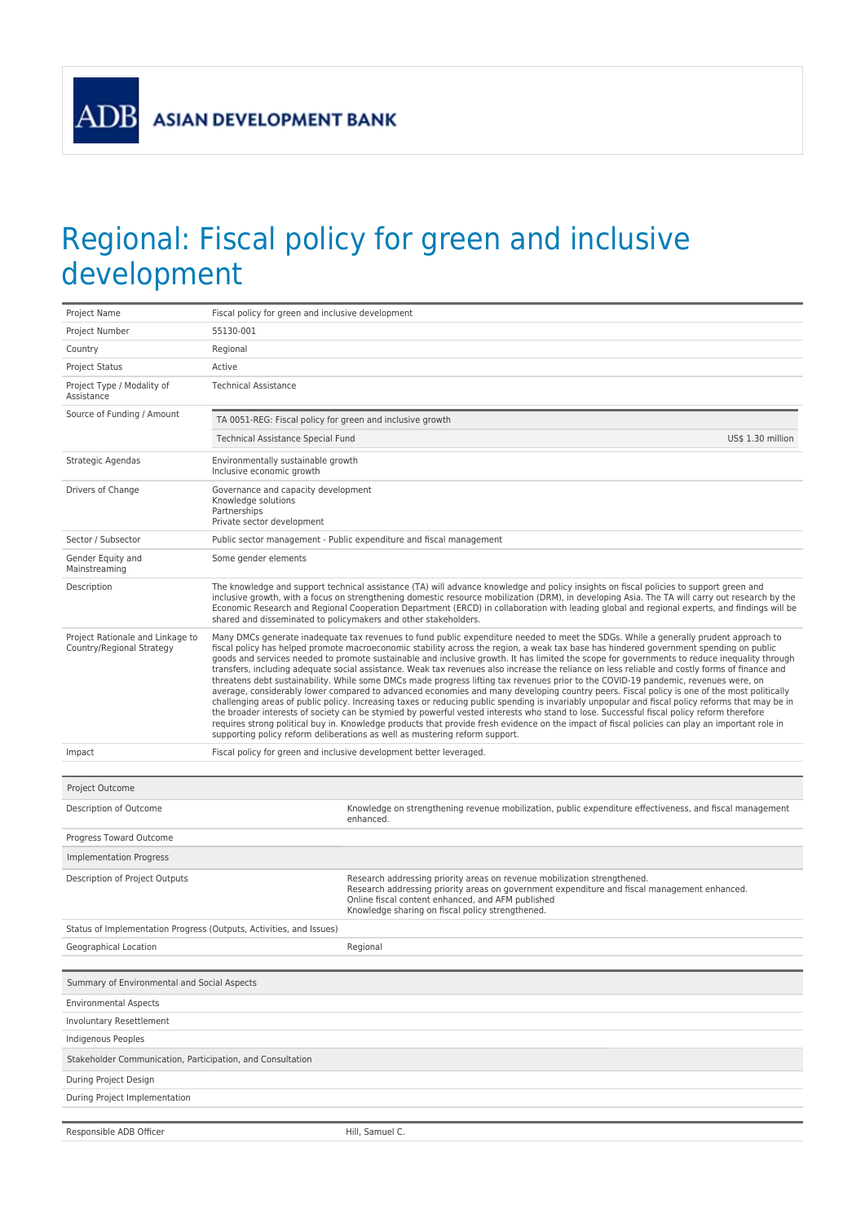**ASIAN DEVELOPMENT BANK** 

ADB

## Regional: Fiscal policy for green and inclusive development

| Project Name                                                        | Fiscal policy for green and inclusive development                                                                                                                                                                                                                                                                                                                                                                                                                                                                                                                                                                                                                                                                                                                                                                                                                                                                                                                                                                                                                                                                                                                                                                                                                                                                                                                                                         |                                                                                                                                                                                                                                                                                                                                                                                                                                                                                                              |  |  |  |
|---------------------------------------------------------------------|-----------------------------------------------------------------------------------------------------------------------------------------------------------------------------------------------------------------------------------------------------------------------------------------------------------------------------------------------------------------------------------------------------------------------------------------------------------------------------------------------------------------------------------------------------------------------------------------------------------------------------------------------------------------------------------------------------------------------------------------------------------------------------------------------------------------------------------------------------------------------------------------------------------------------------------------------------------------------------------------------------------------------------------------------------------------------------------------------------------------------------------------------------------------------------------------------------------------------------------------------------------------------------------------------------------------------------------------------------------------------------------------------------------|--------------------------------------------------------------------------------------------------------------------------------------------------------------------------------------------------------------------------------------------------------------------------------------------------------------------------------------------------------------------------------------------------------------------------------------------------------------------------------------------------------------|--|--|--|
| Project Number                                                      | 55130-001                                                                                                                                                                                                                                                                                                                                                                                                                                                                                                                                                                                                                                                                                                                                                                                                                                                                                                                                                                                                                                                                                                                                                                                                                                                                                                                                                                                                 |                                                                                                                                                                                                                                                                                                                                                                                                                                                                                                              |  |  |  |
| Country                                                             | Regional                                                                                                                                                                                                                                                                                                                                                                                                                                                                                                                                                                                                                                                                                                                                                                                                                                                                                                                                                                                                                                                                                                                                                                                                                                                                                                                                                                                                  |                                                                                                                                                                                                                                                                                                                                                                                                                                                                                                              |  |  |  |
| <b>Project Status</b>                                               | Active                                                                                                                                                                                                                                                                                                                                                                                                                                                                                                                                                                                                                                                                                                                                                                                                                                                                                                                                                                                                                                                                                                                                                                                                                                                                                                                                                                                                    |                                                                                                                                                                                                                                                                                                                                                                                                                                                                                                              |  |  |  |
| Project Type / Modality of<br>Assistance                            | <b>Technical Assistance</b>                                                                                                                                                                                                                                                                                                                                                                                                                                                                                                                                                                                                                                                                                                                                                                                                                                                                                                                                                                                                                                                                                                                                                                                                                                                                                                                                                                               |                                                                                                                                                                                                                                                                                                                                                                                                                                                                                                              |  |  |  |
| Source of Funding / Amount                                          | TA 0051-REG: Fiscal policy for green and inclusive growth                                                                                                                                                                                                                                                                                                                                                                                                                                                                                                                                                                                                                                                                                                                                                                                                                                                                                                                                                                                                                                                                                                                                                                                                                                                                                                                                                 |                                                                                                                                                                                                                                                                                                                                                                                                                                                                                                              |  |  |  |
|                                                                     | Technical Assistance Special Fund<br>US\$ 1.30 million                                                                                                                                                                                                                                                                                                                                                                                                                                                                                                                                                                                                                                                                                                                                                                                                                                                                                                                                                                                                                                                                                                                                                                                                                                                                                                                                                    |                                                                                                                                                                                                                                                                                                                                                                                                                                                                                                              |  |  |  |
| Strategic Agendas                                                   | Environmentally sustainable growth<br>Inclusive economic growth                                                                                                                                                                                                                                                                                                                                                                                                                                                                                                                                                                                                                                                                                                                                                                                                                                                                                                                                                                                                                                                                                                                                                                                                                                                                                                                                           |                                                                                                                                                                                                                                                                                                                                                                                                                                                                                                              |  |  |  |
| Drivers of Change                                                   | Governance and capacity development<br>Knowledge solutions<br>Partnerships<br>Private sector development                                                                                                                                                                                                                                                                                                                                                                                                                                                                                                                                                                                                                                                                                                                                                                                                                                                                                                                                                                                                                                                                                                                                                                                                                                                                                                  |                                                                                                                                                                                                                                                                                                                                                                                                                                                                                                              |  |  |  |
| Sector / Subsector                                                  | Public sector management - Public expenditure and fiscal management                                                                                                                                                                                                                                                                                                                                                                                                                                                                                                                                                                                                                                                                                                                                                                                                                                                                                                                                                                                                                                                                                                                                                                                                                                                                                                                                       |                                                                                                                                                                                                                                                                                                                                                                                                                                                                                                              |  |  |  |
| Gender Equity and<br>Mainstreaming                                  | Some gender elements                                                                                                                                                                                                                                                                                                                                                                                                                                                                                                                                                                                                                                                                                                                                                                                                                                                                                                                                                                                                                                                                                                                                                                                                                                                                                                                                                                                      |                                                                                                                                                                                                                                                                                                                                                                                                                                                                                                              |  |  |  |
| Description                                                         |                                                                                                                                                                                                                                                                                                                                                                                                                                                                                                                                                                                                                                                                                                                                                                                                                                                                                                                                                                                                                                                                                                                                                                                                                                                                                                                                                                                                           | The knowledge and support technical assistance (TA) will advance knowledge and policy insights on fiscal policies to support green and<br>inclusive growth, with a focus on strengthening domestic resource mobilization (DRM), in developing Asia. The TA will carry out research by the<br>Economic Research and Regional Cooperation Department (ERCD) in collaboration with leading global and regional experts, and findings will be<br>shared and disseminated to policymakers and other stakeholders. |  |  |  |
| Project Rationale and Linkage to<br>Country/Regional Strategy       | Many DMCs generate inadequate tax revenues to fund public expenditure needed to meet the SDGs. While a generally prudent approach to<br>fiscal policy has helped promote macroeconomic stability across the region, a weak tax base has hindered government spending on public<br>goods and services needed to promote sustainable and inclusive growth. It has limited the scope for governments to reduce inequality through<br>transfers, including adequate social assistance. Weak tax revenues also increase the reliance on less reliable and costly forms of finance and<br>threatens debt sustainability. While some DMCs made progress lifting tax revenues prior to the COVID-19 pandemic, revenues were, on<br>average, considerably lower compared to advanced economies and many developing country peers. Fiscal policy is one of the most politically<br>challenging areas of public policy. Increasing taxes or reducing public spending is invariably unpopular and fiscal policy reforms that may be in<br>the broader interests of society can be stymied by powerful vested interests who stand to lose. Successful fiscal policy reform therefore<br>requires strong political buy in. Knowledge products that provide fresh evidence on the impact of fiscal policies can play an important role in<br>supporting policy reform deliberations as well as mustering reform support. |                                                                                                                                                                                                                                                                                                                                                                                                                                                                                                              |  |  |  |
| Impact                                                              |                                                                                                                                                                                                                                                                                                                                                                                                                                                                                                                                                                                                                                                                                                                                                                                                                                                                                                                                                                                                                                                                                                                                                                                                                                                                                                                                                                                                           | Fiscal policy for green and inclusive development better leveraged.                                                                                                                                                                                                                                                                                                                                                                                                                                          |  |  |  |
|                                                                     |                                                                                                                                                                                                                                                                                                                                                                                                                                                                                                                                                                                                                                                                                                                                                                                                                                                                                                                                                                                                                                                                                                                                                                                                                                                                                                                                                                                                           |                                                                                                                                                                                                                                                                                                                                                                                                                                                                                                              |  |  |  |
| Project Outcome                                                     |                                                                                                                                                                                                                                                                                                                                                                                                                                                                                                                                                                                                                                                                                                                                                                                                                                                                                                                                                                                                                                                                                                                                                                                                                                                                                                                                                                                                           |                                                                                                                                                                                                                                                                                                                                                                                                                                                                                                              |  |  |  |
| Description of Outcome                                              |                                                                                                                                                                                                                                                                                                                                                                                                                                                                                                                                                                                                                                                                                                                                                                                                                                                                                                                                                                                                                                                                                                                                                                                                                                                                                                                                                                                                           | Knowledge on strengthening revenue mobilization, public expenditure effectiveness, and fiscal management<br>enhanced.                                                                                                                                                                                                                                                                                                                                                                                        |  |  |  |
| Progress Toward Outcome                                             |                                                                                                                                                                                                                                                                                                                                                                                                                                                                                                                                                                                                                                                                                                                                                                                                                                                                                                                                                                                                                                                                                                                                                                                                                                                                                                                                                                                                           |                                                                                                                                                                                                                                                                                                                                                                                                                                                                                                              |  |  |  |
| <b>Implementation Progress</b>                                      |                                                                                                                                                                                                                                                                                                                                                                                                                                                                                                                                                                                                                                                                                                                                                                                                                                                                                                                                                                                                                                                                                                                                                                                                                                                                                                                                                                                                           |                                                                                                                                                                                                                                                                                                                                                                                                                                                                                                              |  |  |  |
| Description of Project Outputs                                      |                                                                                                                                                                                                                                                                                                                                                                                                                                                                                                                                                                                                                                                                                                                                                                                                                                                                                                                                                                                                                                                                                                                                                                                                                                                                                                                                                                                                           | Research addressing priority areas on revenue mobilization strengthened.<br>Research addressing priority areas on government expenditure and fiscal management enhanced.<br>Online fiscal content enhanced, and AFM published<br>Knowledge sharing on fiscal policy strengthened.                                                                                                                                                                                                                            |  |  |  |
| Status of Implementation Progress (Outputs, Activities, and Issues) |                                                                                                                                                                                                                                                                                                                                                                                                                                                                                                                                                                                                                                                                                                                                                                                                                                                                                                                                                                                                                                                                                                                                                                                                                                                                                                                                                                                                           |                                                                                                                                                                                                                                                                                                                                                                                                                                                                                                              |  |  |  |
| Geographical Location                                               |                                                                                                                                                                                                                                                                                                                                                                                                                                                                                                                                                                                                                                                                                                                                                                                                                                                                                                                                                                                                                                                                                                                                                                                                                                                                                                                                                                                                           | Regional                                                                                                                                                                                                                                                                                                                                                                                                                                                                                                     |  |  |  |
| Summary of Environmental and Social Aspects                         |                                                                                                                                                                                                                                                                                                                                                                                                                                                                                                                                                                                                                                                                                                                                                                                                                                                                                                                                                                                                                                                                                                                                                                                                                                                                                                                                                                                                           |                                                                                                                                                                                                                                                                                                                                                                                                                                                                                                              |  |  |  |
|                                                                     |                                                                                                                                                                                                                                                                                                                                                                                                                                                                                                                                                                                                                                                                                                                                                                                                                                                                                                                                                                                                                                                                                                                                                                                                                                                                                                                                                                                                           |                                                                                                                                                                                                                                                                                                                                                                                                                                                                                                              |  |  |  |
| <b>Environmental Aspects</b><br><b>Involuntary Resettlement</b>     |                                                                                                                                                                                                                                                                                                                                                                                                                                                                                                                                                                                                                                                                                                                                                                                                                                                                                                                                                                                                                                                                                                                                                                                                                                                                                                                                                                                                           |                                                                                                                                                                                                                                                                                                                                                                                                                                                                                                              |  |  |  |
| Indigenous Peoples                                                  |                                                                                                                                                                                                                                                                                                                                                                                                                                                                                                                                                                                                                                                                                                                                                                                                                                                                                                                                                                                                                                                                                                                                                                                                                                                                                                                                                                                                           |                                                                                                                                                                                                                                                                                                                                                                                                                                                                                                              |  |  |  |
| Stakeholder Communication, Participation, and Consultation          |                                                                                                                                                                                                                                                                                                                                                                                                                                                                                                                                                                                                                                                                                                                                                                                                                                                                                                                                                                                                                                                                                                                                                                                                                                                                                                                                                                                                           |                                                                                                                                                                                                                                                                                                                                                                                                                                                                                                              |  |  |  |
|                                                                     |                                                                                                                                                                                                                                                                                                                                                                                                                                                                                                                                                                                                                                                                                                                                                                                                                                                                                                                                                                                                                                                                                                                                                                                                                                                                                                                                                                                                           |                                                                                                                                                                                                                                                                                                                                                                                                                                                                                                              |  |  |  |
| During Project Design                                               |                                                                                                                                                                                                                                                                                                                                                                                                                                                                                                                                                                                                                                                                                                                                                                                                                                                                                                                                                                                                                                                                                                                                                                                                                                                                                                                                                                                                           |                                                                                                                                                                                                                                                                                                                                                                                                                                                                                                              |  |  |  |
| During Project Implementation                                       |                                                                                                                                                                                                                                                                                                                                                                                                                                                                                                                                                                                                                                                                                                                                                                                                                                                                                                                                                                                                                                                                                                                                                                                                                                                                                                                                                                                                           |                                                                                                                                                                                                                                                                                                                                                                                                                                                                                                              |  |  |  |
| Responsible ADB Officer                                             |                                                                                                                                                                                                                                                                                                                                                                                                                                                                                                                                                                                                                                                                                                                                                                                                                                                                                                                                                                                                                                                                                                                                                                                                                                                                                                                                                                                                           | Hill, Samuel C.                                                                                                                                                                                                                                                                                                                                                                                                                                                                                              |  |  |  |